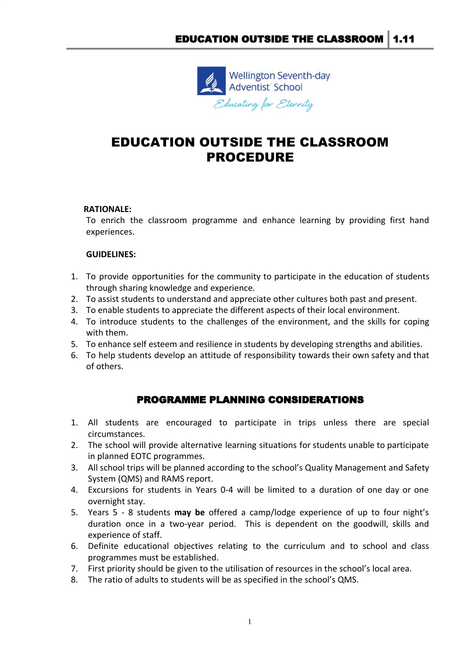

# EDUCATION OUTSIDE THE CLASSROOM PROCEDURE

## **RATIONALE:**

To enrich the classroom programme and enhance learning by providing first hand experiences.

#### **GUIDELINES:**

- 1. To provide opportunities for the community to participate in the education of students through sharing knowledge and experience.
- 2. To assist students to understand and appreciate other cultures both past and present.
- 3. To enable students to appreciate the different aspects of their local environment.
- 4. To introduce students to the challenges of the environment, and the skills for coping with them.
- 5. To enhance self esteem and resilience in students by developing strengths and abilities.
- 6. To help students develop an attitude of responsibility towards their own safety and that of others.

# PROGRAMME PLANNING CONSIDERATIONS

- 1. All students are encouraged to participate in trips unless there are special circumstances.
- 2. The school will provide alternative learning situations for students unable to participate in planned EOTC programmes.
- 3. All school trips will be planned according to the school's Quality Management and Safety System (QMS) and RAMS report.
- 4. Excursions for students in Years 0-4 will be limited to a duration of one day or one overnight stay.
- 5. Years 5 8 students **may be** offered a camp/lodge experience of up to four night's duration once in a two-year period. This is dependent on the goodwill, skills and experience of staff.
- 6. Definite educational objectives relating to the curriculum and to school and class programmes must be established.
- 7. First priority should be given to the utilisation of resources in the school's local area.
- 8. The ratio of adults to students will be as specified in the school's QMS.